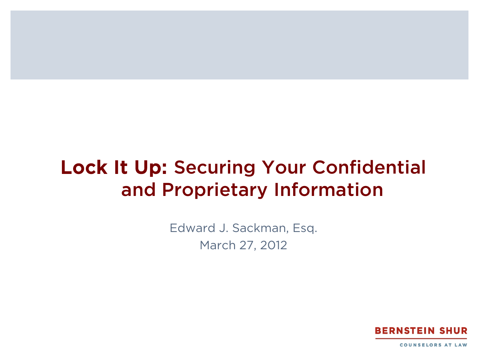#### Lock It Up: Securing Your Confidential and Proprietary Information

Edward J. Sackman, Esq. March 27, 2012

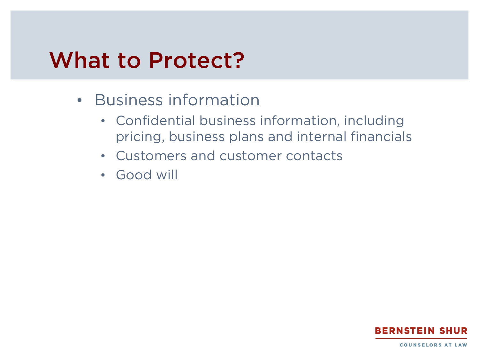#### What to Protect?

- Business information
	- Confidential business information, including pricing, business plans and internal financials
	- Customers and customer contacts
	- Good will

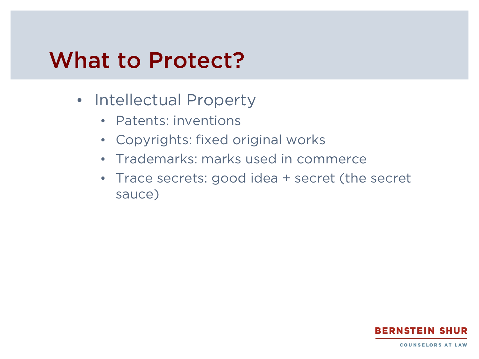#### What to Protect?

- Intellectual Property
	- Patents: inventions
	- Copyrights: fixed original works
	- Trademarks: marks used in commerce
	- Trace secrets: good idea + secret (the secret sauce)

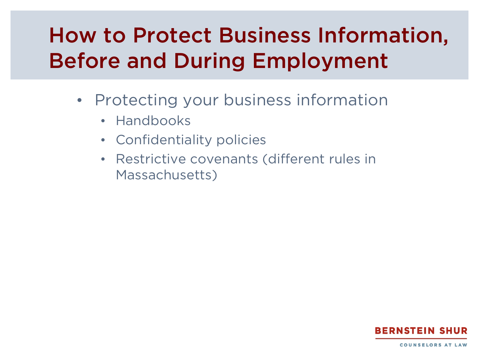- Protecting your business information
	- Handbooks
	- Confidentiality policies
	- Restrictive covenants (different rules in Massachusetts)

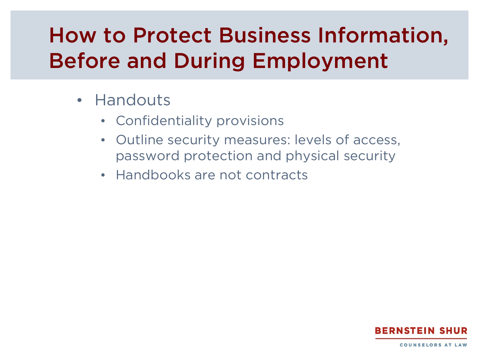- Handouts
	- Confidentiality provisions
	- Outline security measures: levels of access, password protection and physical security
	- Handbooks are not contracts

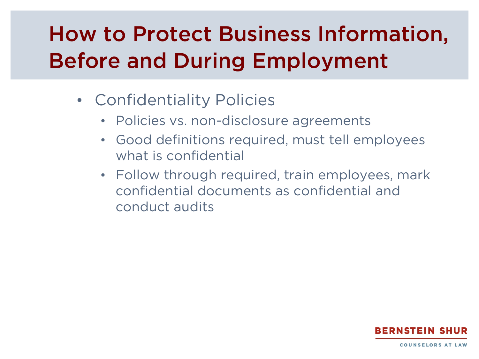- Confidentiality Policies
	- Policies vs. non-disclosure agreements
	- Good definitions required, must tell employees what is confidential
	- Follow through required, train employees, mark confidential documents as confidential and conduct audits

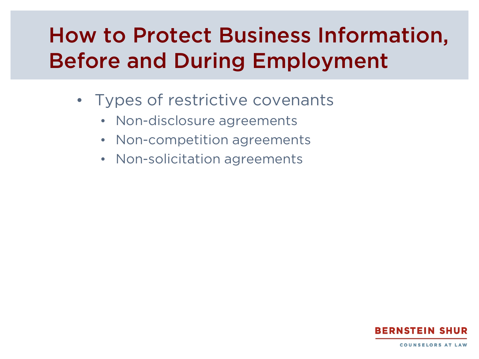- Types of restrictive covenants
	- Non-disclosure agreements
	- Non-competition agreements
	- Non-solicitation agreements

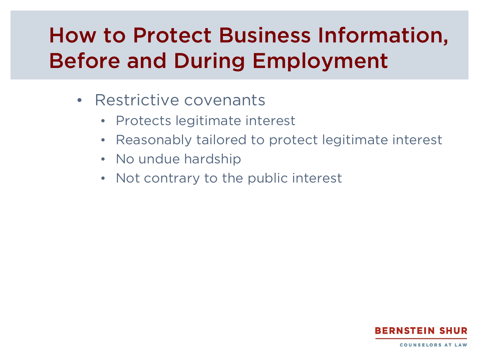- Restrictive covenants
	- Protects legitimate interest
	- Reasonably tailored to protect legitimate interest
	- No undue hardship
	- Not contrary to the public interest

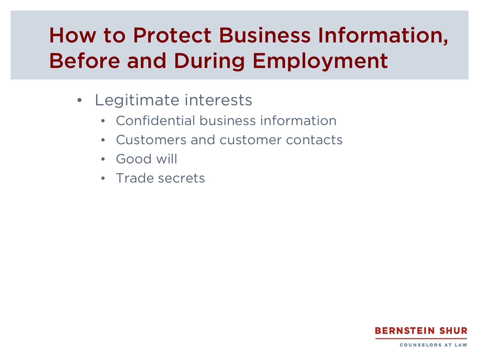- Legitimate interests
	- Confidential business information
	- Customers and customer contacts
	- Good will
	- Trade secrets

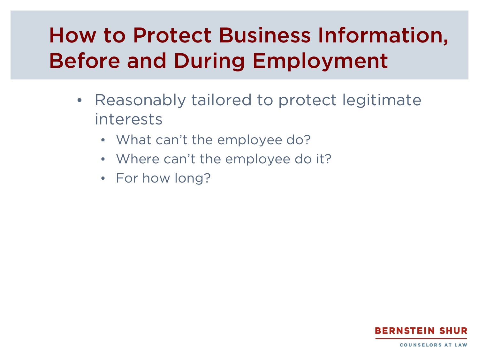- Reasonably tailored to protect legitimate interests
	- What can't the employee do?
	- Where can't the employee do it?
	- For how long?

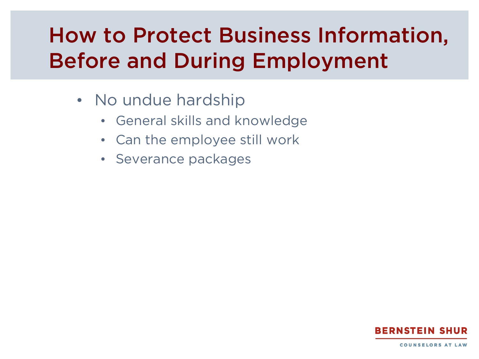- No undue hardship
	- General skills and knowledge
	- Can the employee still work
	- Severance packages

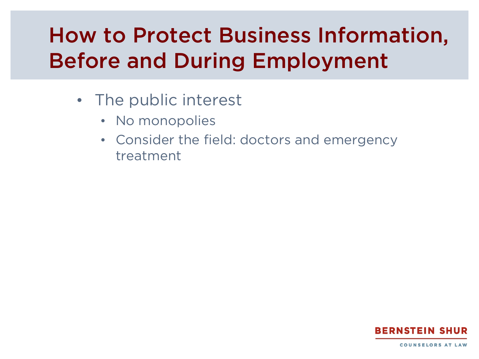- The public interest
	- No monopolies
	- Consider the field: doctors and emergency treatment

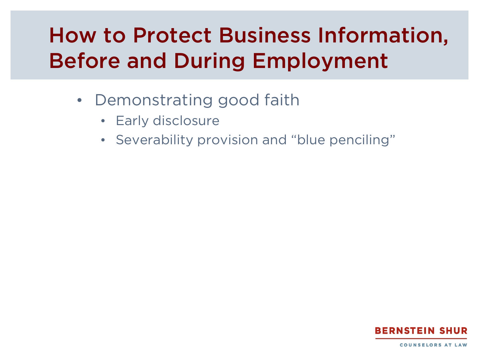- Demonstrating good faith
	- Early disclosure
	- Severability provision and "blue penciling"

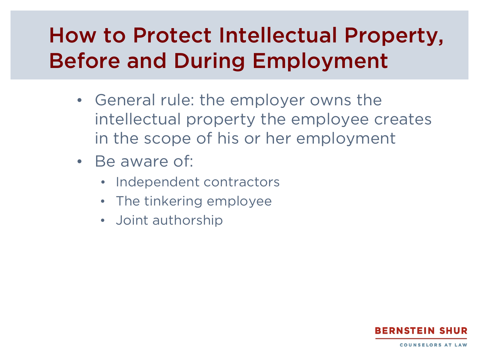- General rule: the employer owns the intellectual property the employee creates in the scope of his or her employment
- Be aware of:
	- Independent contractors
	- The tinkering employee
	- Joint authorship

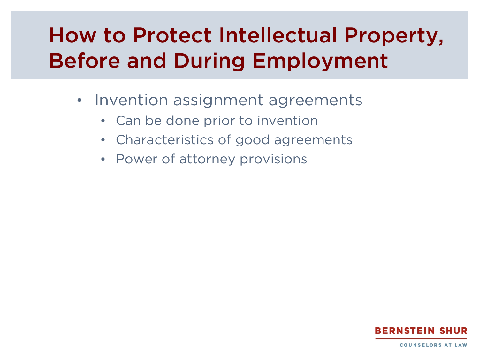- Invention assignment agreements
	- Can be done prior to invention
	- Characteristics of good agreements
	- Power of attorney provisions

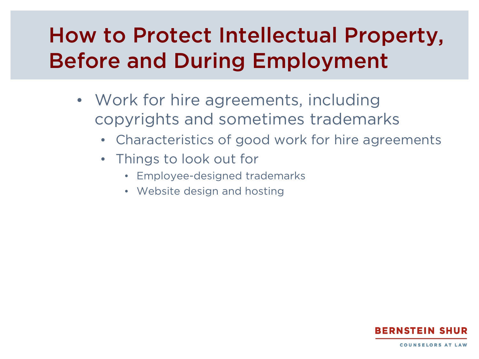- Work for hire agreements, including copyrights and sometimes trademarks
	- Characteristics of good work for hire agreements
	- Things to look out for
		- Employee-designed trademarks
		- Website design and hosting

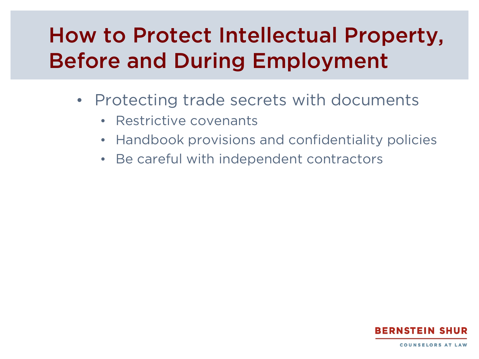- Protecting trade secrets with documents
	- Restrictive covenants
	- Handbook provisions and confidentiality policies
	- Be careful with independent contractors

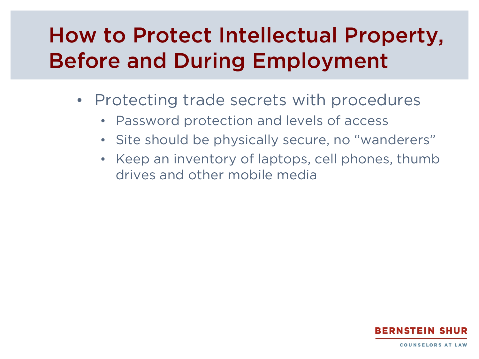- Protecting trade secrets with procedures
	- Password protection and levels of access
	- Site should be physically secure, no "wanderers"
	- Keep an inventory of laptops, cell phones, thumb drives and other mobile media

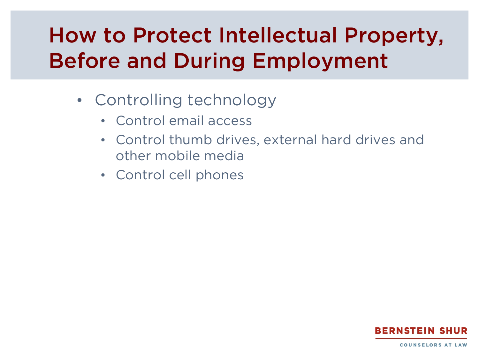- Controlling technology
	- Control email access
	- Control thumb drives, external hard drives and other mobile media
	- Control cell phones

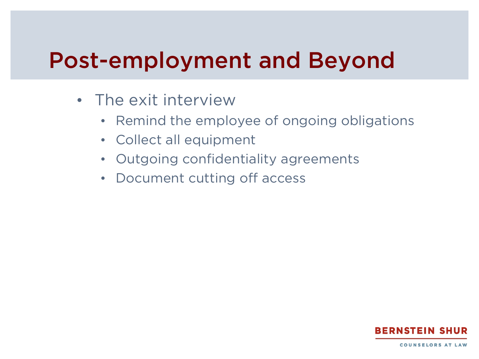### Post-employment and Beyond

- The exit interview
	- Remind the employee of ongoing obligations
	- Collect all equipment
	- Outgoing confidentiality agreements
	- Document cutting off access

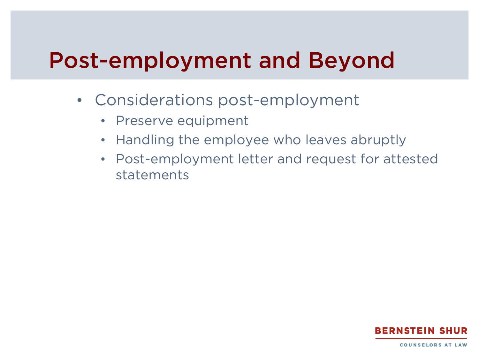## Post-employment and Beyond

- Considerations post-employment
	- Preserve equipment
	- Handling the employee who leaves abruptly
	- Post-employment letter and request for attested statements

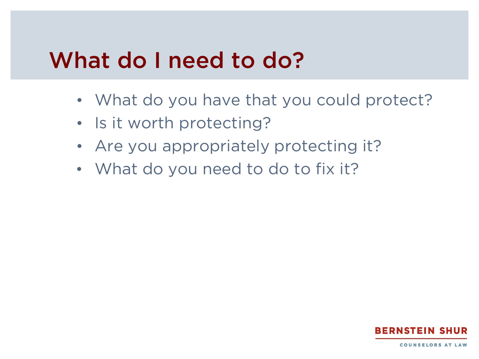#### What do I need to do?

- What do you have that you could protect?
- Is it worth protecting?
- Are you appropriately protecting it?
- What do you need to do to fix it?